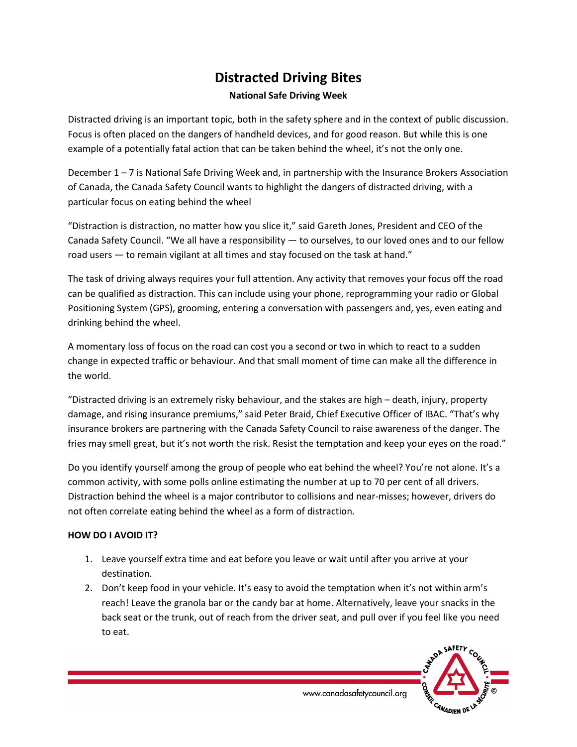## **Distracted Driving Bites**

## **National Safe Driving Week**

Distracted driving is an important topic, both in the safety sphere and in the context of public discussion. Focus is often placed on the dangers of handheld devices, and for good reason. But while this is one example of a potentially fatal action that can be taken behind the wheel, it's not the only one.

December 1 – 7 is National Safe Driving Week and, in partnership with the Insurance Brokers Association of Canada, the Canada Safety Council wants to highlight the dangers of distracted driving, with a particular focus on eating behind the wheel

"Distraction is distraction, no matter how you slice it," said Gareth Jones, President and CEO of the Canada Safety Council. "We all have a responsibility — to ourselves, to our loved ones and to our fellow road users — to remain vigilant at all times and stay focused on the task at hand."

The task of driving always requires your full attention. Any activity that removes your focus off the road can be qualified as distraction. This can include using your phone, reprogramming your radio or Global Positioning System (GPS), grooming, entering a conversation with passengers and, yes, even eating and drinking behind the wheel.

A momentary loss of focus on the road can cost you a second or two in which to react to a sudden change in expected traffic or behaviour. And that small moment of time can make all the difference in the world.

"Distracted driving is an extremely risky behaviour, and the stakes are high – death, injury, property damage, and rising insurance premiums," said Peter Braid, Chief Executive Officer of IBAC. "That's why insurance brokers are partnering with the Canada Safety Council to raise awareness of the danger. The fries may smell great, but it's not worth the risk. Resist the temptation and keep your eyes on the road."

Do you identify yourself among the group of people who eat behind the wheel? You're not alone. It's a common activity, with some polls online estimating the number at up to 70 per cent of all drivers. Distraction behind the wheel is a major contributor to collisions and near-misses; however, drivers do not often correlate eating behind the wheel as a form of distraction.

## **HOW DO I AVOID IT?**

- 1. Leave yourself extra time and eat before you leave or wait until after you arrive at your destination.
- 2. Don't keep food in your vehicle. It's easy to avoid the temptation when it's not within arm's reach! Leave the granola bar or the candy bar at home. Alternatively, leave your snacks in the back seat or the trunk, out of reach from the driver seat, and pull over if you feel like you need to eat.



www.canadasafetycouncil.org